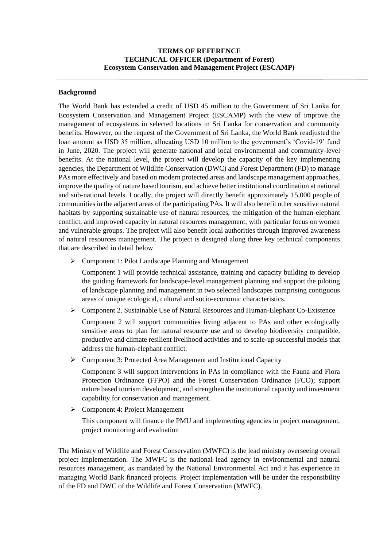# **TERMS OF REFERENCE TECHNICAL OFFICER (Department of Forest) Ecosystem Conservation and Management Project (ESCAMP)**

## **Background**

The World Bank has extended a credit of USD 45 million to the Government of Sri Lanka for Ecosystem Conservation and Management Project (ESCAMP) with the view of improve the management of ecosystems in selected locations in Sri Lanka for conservation and community benefits. However, on the request of the Government of Sri Lanka, the World Bank readjusted the loan amount as USD 35 million, allocating USD 10 million to the government's 'Covid-19' fund in June, 2020. The project will generate national and local environmental and community-level benefits. At the national level, the project will develop the capacity of the key implementing agencies, the Department of Wildlife Conservation (DWC) and Forest Department (FD) to manage PAs more effectively and based on modern protected areas and landscape management approaches, improve the quality of nature based tourism, and achieve better institutional coordination at national and sub-national levels. Locally, the project will directly benefit approximately 15,000 people of communities in the adjacent areas of the participating PAs. It will also benefit other sensitive natural habitats by supporting sustainable use of natural resources, the mitigation of the human-elephant conflict, and improved capacity in natural resources management, with particular focus on women and vulnerable groups. The project will also benefit local authorities through improved awareness of natural resources management. The project is designed along three key technical components that are described in detail below

➢ Component 1: Pilot Landscape Planning and Management

Component 1 will provide technical assistance, training and capacity building to develop the guiding framework for landscape-level management planning and support the piloting of landscape planning and management in two selected landscapes comprising contiguous areas of unique ecological, cultural and socio-economic characteristics.

➢ Component 2. Sustainable Use of Natural Resources and Human-Elephant Co-Existence

Component 2 will support communities living adjacent to PAs and other ecologically sensitive areas to plan for natural resource use and to develop biodiversity compatible, productive and climate resilient livelihood activities and to scale-up successful models that address the human-elephant conflict.

➢ Component 3: Protected Area Management and Institutional Capacity

Component 3 will support interventions in PAs in compliance with the Fauna and Flora Protection Ordinance (FFPO) and the Forest Conservation Ordinance (FCO); support nature based tourism development, and strengthen the institutional capacity and investment capability for conservation and management.

➢ Component 4: Project Management

This component will finance the PMU and implementing agencies in project management, project monitoring and evaluation

The Ministry of Wildlife and Forest Conservation (MWFC) is the lead ministry overseeing overall project implementation. The MWFC is the national lead agency in environmental and natural resources management, as mandated by the National Environmental Act and it has experience in managing World Bank financed projects. Project implementation will be under the responsibility of the FD and DWC of the Wildlife and Forest Conservation (MWFC).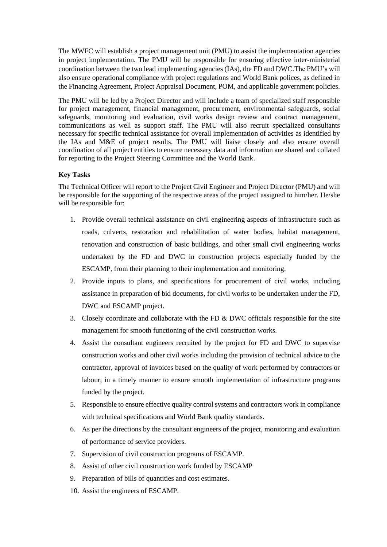The MWFC will establish a project management unit (PMU) to assist the implementation agencies in project implementation. The PMU will be responsible for ensuring effective inter-ministerial coordination between the two lead implementing agencies (IAs), the FD and DWC.The PMU's will also ensure operational compliance with project regulations and World Bank polices, as defined in the Financing Agreement, Project Appraisal Document, POM, and applicable government policies.

The PMU will be led by a Project Director and will include a team of specialized staff responsible for project management, financial management, procurement, environmental safeguards, social safeguards, monitoring and evaluation, civil works design review and contract management, communications as well as support staff. The PMU will also recruit specialized consultants necessary for specific technical assistance for overall implementation of activities as identified by the IAs and M&E of project results. The PMU will liaise closely and also ensure overall coordination of all project entities to ensure necessary data and information are shared and collated for reporting to the Project Steering Committee and the World Bank.

## **Key Tasks**

The Technical Officer will report to the Project Civil Engineer and Project Director (PMU) and will be responsible for the supporting of the respective areas of the project assigned to him/her. He/she will be responsible for:

- 1. Provide overall technical assistance on civil engineering aspects of infrastructure such as roads, culverts, restoration and rehabilitation of water bodies, habitat management, renovation and construction of basic buildings, and other small civil engineering works undertaken by the FD and DWC in construction projects especially funded by the ESCAMP, from their planning to their implementation and monitoring.
- 2. Provide inputs to plans, and specifications for procurement of civil works, including assistance in preparation of bid documents, for civil works to be undertaken under the FD, DWC and ESCAMP project.
- 3. Closely coordinate and collaborate with the FD & DWC officials responsible for the site management for smooth functioning of the civil construction works.
- 4. Assist the consultant engineers recruited by the project for FD and DWC to supervise construction works and other civil works including the provision of technical advice to the contractor, approval of invoices based on the quality of work performed by contractors or labour, in a timely manner to ensure smooth implementation of infrastructure programs funded by the project.
- 5. Responsible to ensure effective quality control systems and contractors work in compliance with technical specifications and World Bank quality standards.
- 6. As per the directions by the consultant engineers of the project, monitoring and evaluation of performance of service providers.
- 7. Supervision of civil construction programs of ESCAMP.
- 8. Assist of other civil construction work funded by ESCAMP
- 9. Preparation of bills of quantities and cost estimates.
- 10. Assist the engineers of ESCAMP.